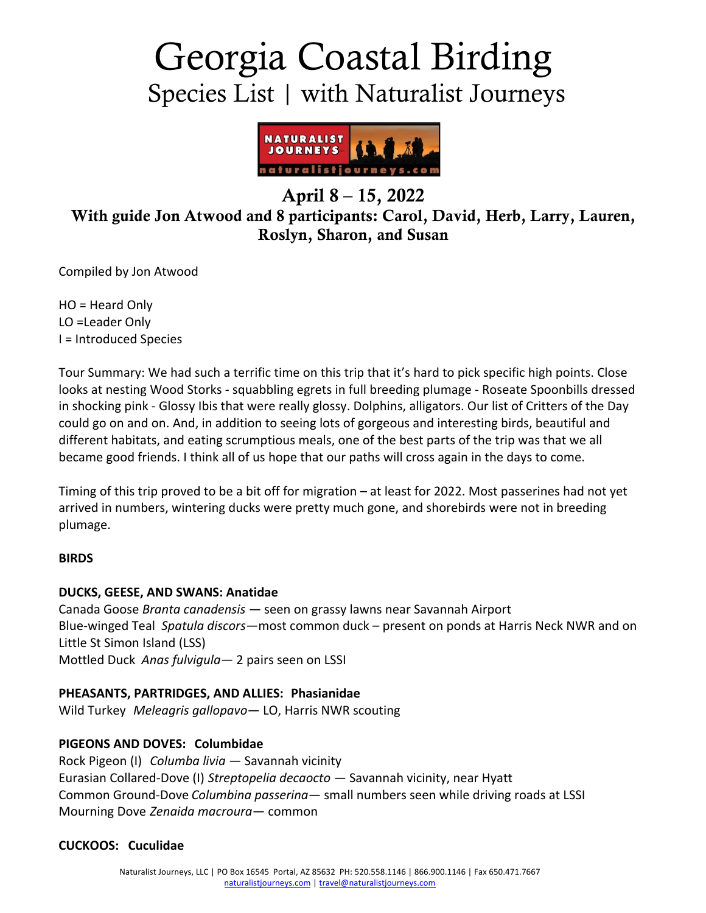# Georgia Coastal Birding Species List | with Naturalist Journeys



## April 8 – 15, 2022 With guide Jon Atwood and 8 participants: Carol, David, Herb, Larry, Lauren, Roslyn, Sharon, and Susan

Compiled by Jon Atwood

HO = Heard Only LO =Leader Only I = Introduced Species

Tour Summary: We had such a terrific time on this trip that it's hard to pick specific high points. Close looks at nesting Wood Storks - squabbling egrets in full breeding plumage - Roseate Spoonbills dressed in shocking pink - Glossy Ibis that were really glossy. Dolphins, alligators. Our list of Critters of the Day could go on and on. And, in addition to seeing lots of gorgeous and interesting birds, beautiful and different habitats, and eating scrumptious meals, one of the best parts of the trip was that we all became good friends. I think all of us hope that our paths will cross again in the days to come.

Timing of this trip proved to be a bit off for migration – at least for 2022. Most passerines had not yet arrived in numbers, wintering ducks were pretty much gone, and shorebirds were not in breeding plumage.

## **BIRDS**

## **DUCKS, GEESE, AND SWANS: Anatidae**

Canada Goose *Branta canadensis —* seen on grassy lawns near Savannah Airport Blue-winged Teal *Spatula discors—*most common duck – present on ponds at Harris Neck NWR and on Little St Simon Island (LSS) Mottled Duck *Anas fulvigula—* 2 pairs seen on LSSI

## **PHEASANTS, PARTRIDGES, AND ALLIES: Phasianidae**

Wild Turkey *Meleagris gallopavo—* LO, Harris NWR scouting

## **PIGEONS AND DOVES: Columbidae**

Rock Pigeon (I) *Columba livia —* Savannah vicinity Eurasian Collared-Dove (I) *Streptopelia decaocto —* Savannah vicinity, near Hyatt Common Ground-Dove *Columbina passerina—* small numbers seen while driving roads at LSSI Mourning Dove *Zenaida macroura—* common

#### **CUCKOOS: Cuculidae**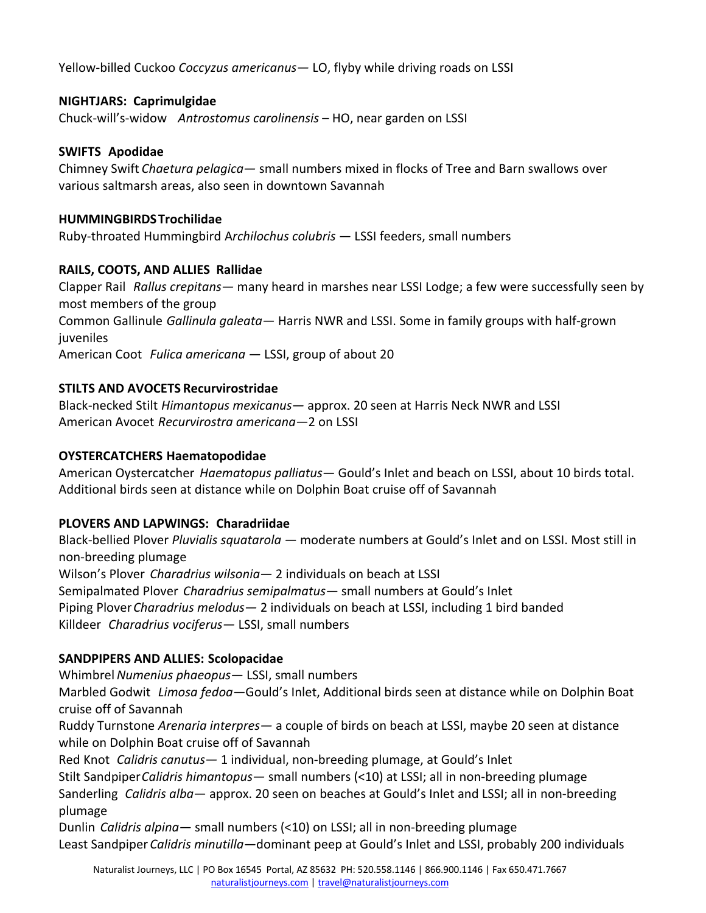Yellow-billed Cuckoo *Coccyzus americanus—* LO, flyby while driving roads on LSSI

## **NIGHTJARS: Caprimulgidae**

Chuck-will's-widow *Antrostomus carolinensis* – HO, near garden on LSSI

## **SWIFTS Apodidae**

Chimney Swift *Chaetura pelagica—* small numbers mixed in flocks of Tree and Barn swallows over various saltmarsh areas, also seen in downtown Savannah

## **HUMMINGBIRDSTrochilidae**

Ruby-throated Hummingbird A*rchilochus colubris —* LSSI feeders, small numbers

## **RAILS, COOTS, AND ALLIES Rallidae**

Clapper Rail *Rallus crepitans—* many heard in marshes near LSSI Lodge; a few were successfully seen by most members of the group Common Gallinule *Gallinula galeata—* Harris NWR and LSSI. Some in family groups with half-grown juveniles American Coot *Fulica americana —* LSSI, group of about 20

## **STILTS AND AVOCETS Recurvirostridae**

Black-necked Stilt *Himantopus mexicanus—* approx. 20 seen at Harris Neck NWR and LSSI American Avocet *Recurvirostra americana—*2 on LSSI

## **OYSTERCATCHERS Haematopodidae**

American Oystercatcher *Haematopus palliatus—* Gould's Inlet and beach on LSSI, about 10 birds total. Additional birds seen at distance while on Dolphin Boat cruise off of Savannah

## **PLOVERS AND LAPWINGS: Charadriidae**

Black-bellied Plover *Pluvialis squatarola —* moderate numbers at Gould's Inlet and on LSSI. Most still in non-breeding plumage Wilson's Plover *Charadrius wilsonia—* 2 individuals on beach at LSSI Semipalmated Plover *Charadrius semipalmatus—* small numbers at Gould's Inlet Piping Plover*Charadrius melodus—* 2 individuals on beach at LSSI, including 1 bird banded Killdeer *Charadrius vociferus—* LSSI, small numbers

## **SANDPIPERS AND ALLIES: Scolopacidae**

Whimbrel*Numenius phaeopus—* LSSI, small numbers

Marbled Godwit *Limosa fedoa—*Gould's Inlet, Additional birds seen at distance while on Dolphin Boat cruise off of Savannah

Ruddy Turnstone *Arenaria interpres—* a couple of birds on beach at LSSI, maybe 20 seen at distance while on Dolphin Boat cruise off of Savannah

Red Knot *Calidris canutus—* 1 individual, non-breeding plumage, at Gould's Inlet

Stilt Sandpiper*Calidris himantopus—* small numbers (<10) at LSSI; all in non-breeding plumage Sanderling *Calidris alba*— approx. 20 seen on beaches at Gould's Inlet and LSSI; all in non-breeding plumage

Dunlin *Calidris alpina—* small numbers (<10) on LSSI; all in non-breeding plumage Least Sandpiper *Calidris minutilla—*dominant peep at Gould's Inlet and LSSI, probably 200 individuals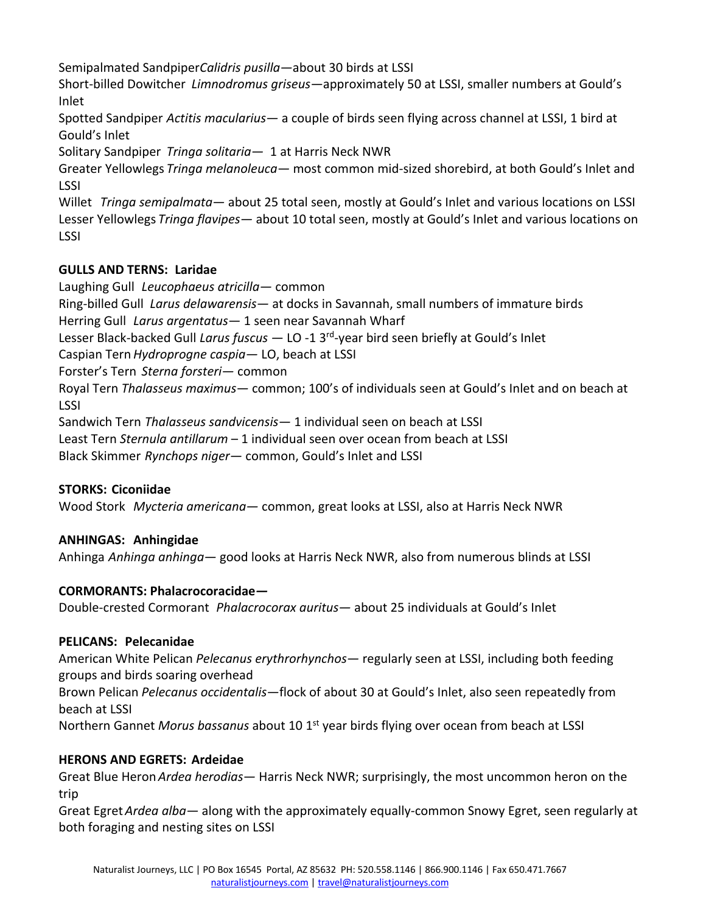Semipalmated Sandpiper*Calidris pusilla—*about 30 birds at LSSI

Short-billed Dowitcher *Limnodromus griseus—*approximately 50 at LSSI, smaller numbers at Gould's Inlet

Spotted Sandpiper *Actitis macularius—* a couple of birds seen flying across channel at LSSI, 1 bird at Gould's Inlet

Solitary Sandpiper *Tringa solitaria—* 1 at Harris Neck NWR

Greater Yellowlegs *Tringa melanoleuca—* most common mid-sized shorebird, at both Gould's Inlet and LSSI

Willet *Tringa semipalmata—* about 25 total seen, mostly at Gould's Inlet and various locations on LSSI Lesser Yellowlegs *Tringa flavipes—* about 10 total seen, mostly at Gould's Inlet and various locations on LSSI

## **GULLS AND TERNS: Laridae**

Laughing Gull *Leucophaeus atricilla—* common

Ring-billed Gull *Larus delawarensis—* at docks in Savannah, small numbers of immature birds

Herring Gull *Larus argentatus—* 1 seen near Savannah Wharf

Lesser Black-backed Gull *Larus fuscus —* LO -1 3rd-year bird seen briefly at Gould's Inlet

Caspian Tern*Hydroprogne caspia—* LO, beach at LSSI

Forster's Tern *Sterna forsteri—* common

Royal Tern *Thalasseus maximus—* common; 100's of individuals seen at Gould's Inlet and on beach at LSSI

Sandwich Tern *Thalasseus sandvicensis—* 1 individual seen on beach at LSSI

Least Tern *Sternula antillarum* – 1 individual seen over ocean from beach at LSSI

Black Skimmer *Rynchops niger—* common, Gould's Inlet and LSSI

## **STORKS: Ciconiidae**

Wood Stork *Mycteria americana—* common, great looks at LSSI, also at Harris Neck NWR

## **ANHINGAS: Anhingidae**

Anhinga *Anhinga anhinga—* good looks at Harris Neck NWR, also from numerous blinds at LSSI

## **CORMORANTS: Phalacrocoracidae***—*

Double-crested Cormorant *Phalacrocorax auritus—* about 25 individuals at Gould's Inlet

## **PELICANS: Pelecanidae**

American White Pelican *Pelecanus erythrorhynchos—* regularly seen at LSSI, including both feeding groups and birds soaring overhead

Brown Pelican *Pelecanus occidentalis—*flock of about 30 at Gould's Inlet, also seen repeatedly from beach at LSSI

Northern Gannet Morus bassanus about 10 1<sup>st</sup> year birds flying over ocean from beach at LSSI

## **HERONS AND EGRETS: Ardeidae**

Great Blue Heron*Ardea herodias—* Harris Neck NWR; surprisingly, the most uncommon heron on the trip

Great Egret*Ardea alba—* along with the approximately equally-common Snowy Egret, seen regularly at both foraging and nesting sites on LSSI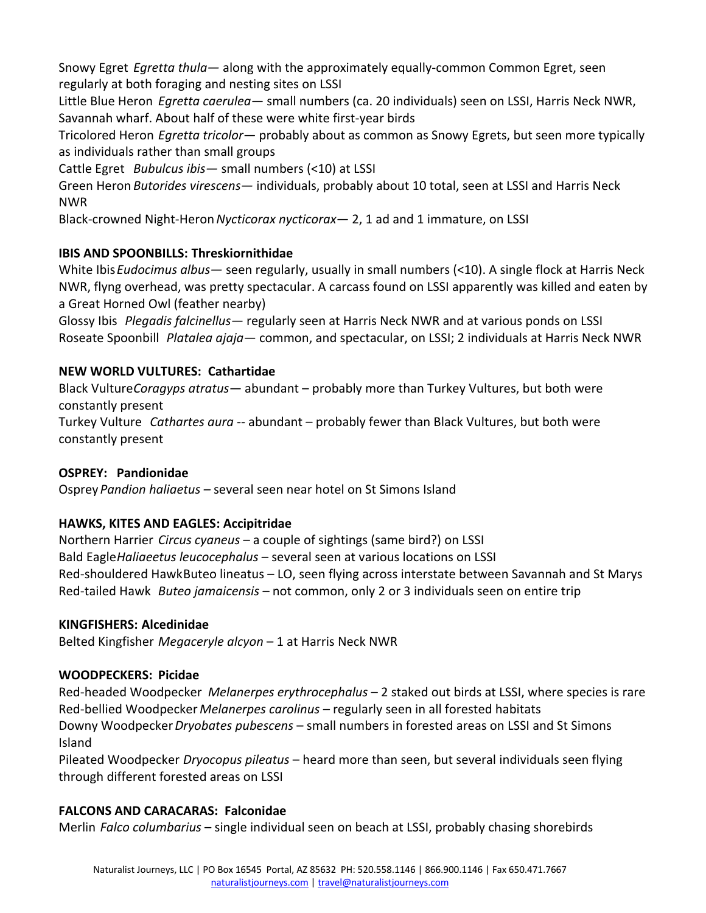Snowy Egret *Egretta thula—* along with the approximately equally-common Common Egret, seen regularly at both foraging and nesting sites on LSSI

Little Blue Heron *Egretta caerulea—* small numbers (ca. 20 individuals) seen on LSSI, Harris Neck NWR, Savannah wharf. About half of these were white first-year birds

Tricolored Heron *Egretta tricolor—* probably about as common as Snowy Egrets, but seen more typically as individuals rather than small groups

Cattle Egret *Bubulcus ibis—* small numbers (<10) at LSSI

Green Heron *Butorides virescens—* individuals, probably about 10 total, seen at LSSI and Harris Neck NWR

Black-crowned Night-Heron*Nycticorax nycticorax—* 2, 1 ad and 1 immature, on LSSI

## **IBIS AND SPOONBILLS: Threskiornithidae**

White Ibis*Eudocimus albus—* seen regularly, usually in small numbers (<10). A single flock at Harris Neck NWR, flyng overhead, was pretty spectacular. A carcass found on LSSI apparently was killed and eaten by a Great Horned Owl (feather nearby)

Glossy Ibis *Plegadis falcinellus—* regularly seen at Harris Neck NWR and at various ponds on LSSI Roseate Spoonbill *Platalea ajaja—* common, and spectacular, on LSSI; 2 individuals at Harris Neck NWR

## **NEW WORLD VULTURES: Cathartidae**

Black Vulture*Coragyps atratus—* abundant – probably more than Turkey Vultures, but both were constantly present Turkey Vulture *Cathartes aura --* abundant – probably fewer than Black Vultures, but both were constantly present

## **OSPREY: Pandionidae**

Osprey*Pandion haliaetus –* several seen near hotel on St Simons Island

## **HAWKS, KITES AND EAGLES: Accipitridae**

Northern Harrier *Circus cyaneus –* a couple of sightings (same bird?) on LSSI Bald Eagle*Haliaeetus leucocephalus* – several seen at various locations on LSSI Red-shouldered HawkButeo lineatus – LO, seen flying across interstate between Savannah and St Marys Red-tailed Hawk *Buteo jamaicensis –* not common, only 2 or 3 individuals seen on entire trip

## **KINGFISHERS: Alcedinidae**

Belted Kingfisher *Megaceryle alcyon* – 1 at Harris Neck NWR

## **WOODPECKERS: Picidae**

Red-headed Woodpecker *Melanerpes erythrocephalus* – 2 staked out birds at LSSI, where species is rare Red-bellied Woodpecker *Melanerpes carolinus –* regularly seen in all forested habitats

Downy Woodpecker*Dryobates pubescens* – small numbers in forested areas on LSSI and St Simons Island

Pileated Woodpecker *Dryocopus pileatus* – heard more than seen, but several individuals seen flying through different forested areas on LSSI

## **FALCONS AND CARACARAS: Falconidae**

Merlin *Falco columbarius* – single individual seen on beach at LSSI, probably chasing shorebirds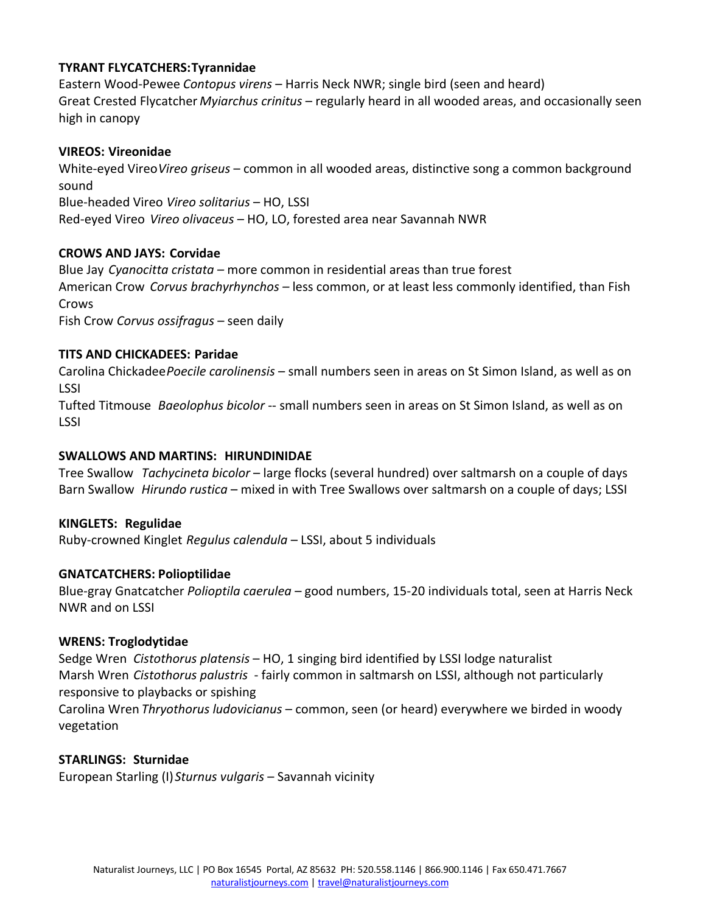#### **TYRANT FLYCATCHERS:Tyrannidae**

Eastern Wood-Pewee *Contopus virens* – Harris Neck NWR; single bird (seen and heard) Great Crested Flycatcher *Myiarchus crinitus* – regularly heard in all wooded areas, and occasionally seen high in canopy

#### **VIREOS: Vireonidae**

White-eyed Vireo*Vireo griseus* – common in all wooded areas, distinctive song a common background sound Blue-headed Vireo *Vireo solitarius* – HO, LSSI Red-eyed Vireo *Vireo olivaceus* – HO, LO, forested area near Savannah NWR

#### **CROWS AND JAYS: Corvidae**

Blue Jay *Cyanocitta cristata –* more common in residential areas than true forest American Crow *Corvus brachyrhynchos –* less common, or at least less commonly identified, than Fish Crows Fish Crow *Corvus ossifragus* – seen daily

#### **TITS AND CHICKADEES: Paridae**

Carolina Chickadee*Poecile carolinensis* – small numbers seen in areas on St Simon Island, as well as on LSSI

Tufted Titmouse *Baeolophus bicolor* -- small numbers seen in areas on St Simon Island, as well as on LSSI

#### **SWALLOWS AND MARTINS: HIRUNDINIDAE**

Tree Swallow *Tachycineta bicolor* – large flocks (several hundred) over saltmarsh on a couple of days Barn Swallow *Hirundo rustica* – mixed in with Tree Swallows over saltmarsh on a couple of days; LSSI

#### **KINGLETS: Regulidae**

Ruby-crowned Kinglet *Regulus calendula* – LSSI, about 5 individuals

#### **GNATCATCHERS: Polioptilidae**

Blue-gray Gnatcatcher *Polioptila caerulea* – good numbers, 15-20 individuals total, seen at Harris Neck NWR and on LSSI

#### **WRENS: Troglodytidae**

Sedge Wren *Cistothorus platensis* – HO, 1 singing bird identified by LSSI lodge naturalist Marsh Wren *Cistothorus palustris* - fairly common in saltmarsh on LSSI, although not particularly responsive to playbacks or spishing Carolina Wren *Thryothorus ludovicianus* – common, seen (or heard) everywhere we birded in woody vegetation

#### **STARLINGS: Sturnidae**

European Starling (I)*Sturnus vulgaris* – Savannah vicinity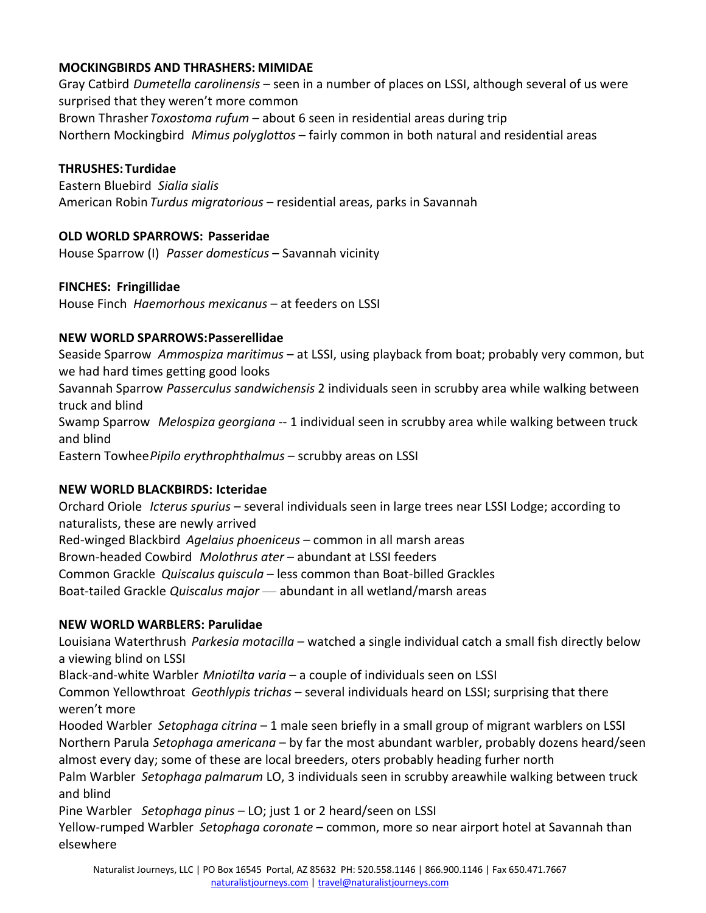#### **MOCKINGBIRDS AND THRASHERS: MIMIDAE**

Gray Catbird *Dumetella carolinensis* – seen in a number of places on LSSI, although several of us were surprised that they weren't more common

Brown Thrasher*Toxostoma rufum* – about 6 seen in residential areas during trip Northern Mockingbird *Mimus polyglottos* – fairly common in both natural and residential areas

#### **THRUSHES:Turdidae**

Eastern Bluebird *Sialia sialis* American Robin *Turdus migratorious* – residential areas, parks in Savannah

#### **OLD WORLD SPARROWS: Passeridae**

House Sparrow (I) *Passer domesticus* – Savannah vicinity

#### **FINCHES: Fringillidae**

House Finch *Haemorhous mexicanus* – at feeders on LSSI

#### **NEW WORLD SPARROWS:Passerellidae**

Seaside Sparrow *Ammospiza maritimus* – at LSSI, using playback from boat; probably very common, but we had hard times getting good looks Savannah Sparrow *Passerculus sandwichensis* 2 individuals seen in scrubby area while walking between truck and blind Swamp Sparrow *Melospiza georgiana* -- 1 individual seen in scrubby area while walking between truck and blind Eastern Towhee*Pipilo erythrophthalmus* – scrubby areas on LSSI

## **NEW WORLD BLACKBIRDS: Icteridae**

Orchard Oriole *Icterus spurius* – several individuals seen in large trees near LSSI Lodge; according to naturalists, these are newly arrived Red-winged Blackbird *Agelaius phoeniceus* – common in all marsh areas Brown-headed Cowbird *Molothrus ater* – abundant at LSSI feeders Common Grackle *Quiscalus quiscula* – less common than Boat-billed Grackles Boat-tailed Grackle *Quiscalus major* — abundant in all wetland/marsh areas

## **NEW WORLD WARBLERS: Parulidae**

Louisiana Waterthrush *Parkesia motacilla* – watched a single individual catch a small fish directly below a viewing blind on LSSI

Black-and-white Warbler *Mniotilta varia* – a couple of individuals seen on LSSI

Common Yellowthroat *Geothlypis trichas* – several individuals heard on LSSI; surprising that there weren't more

Hooded Warbler *Setophaga citrina* – 1 male seen briefly in a small group of migrant warblers on LSSI Northern Parula *Setophaga americana* – by far the most abundant warbler, probably dozens heard/seen almost every day; some of these are local breeders, oters probably heading furher north Palm Warbler *Setophaga palmarum* LO, 3 individuals seen in scrubby areawhile walking between truck and blind

Pine Warbler *Setophaga pinus* – LO; just 1 or 2 heard/seen on LSSI Yellow-rumped Warbler *Setophaga coronate* – common, more so near airport hotel at Savannah than elsewhere